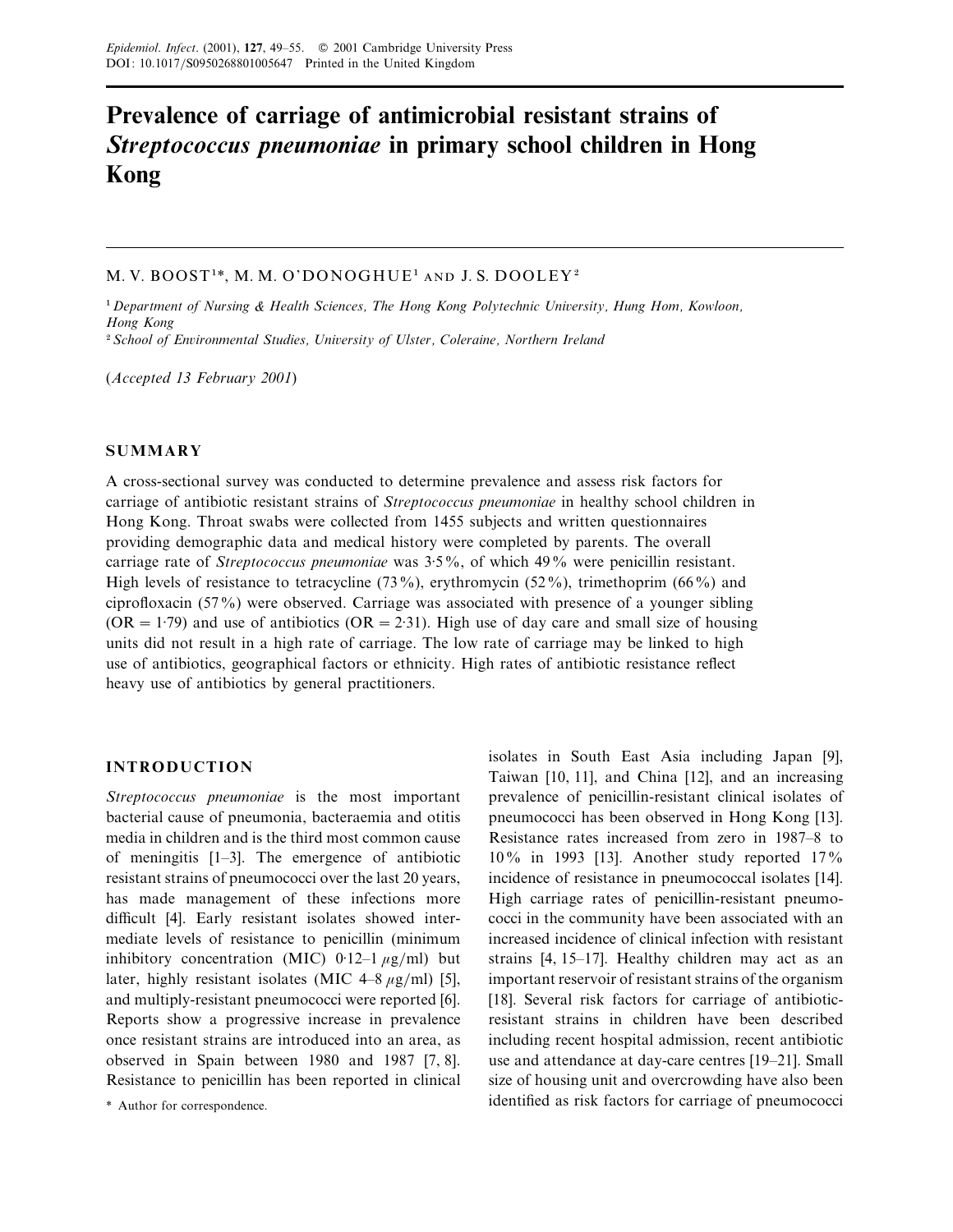# **Prevalence of carriage of antimicrobial resistant strains of** *Streptococcus pneumoniae* **in primary school children in Hong Kong**

# M. V. BOOST<sup>1\*</sup>, M. M. O'DONOGHUE<sup>1</sup> AND J. S. DOOLEY<sup>2</sup>

" *Department of Nursing & Health Sciences, The Hong Kong Polytechnic Uniersity, Hung Hom, Kowloon, Hong Kong*

# *School of Enironmental Studies, Uniersity of Ulster, Coleraine, Northern Ireland*

(*Accepted 13 February 2001*)

# **SUMMARY**

A cross-sectional survey was conducted to determine prevalence and assess risk factors for carriage of antibiotic resistant strains of *Streptococcus pneumoniae* in healthy school children in Hong Kong. Throat swabs were collected from 1455 subjects and written questionnaires providing demographic data and medical history were completed by parents. The overall carriage rate of *Streptococcus pneumoniae* was 3.5%, of which 49% were penicillin resistant. High levels of resistance to tetracycline  $(73\%)$ , erythromycin  $(52\%)$ , trimethoprim  $(66\%)$  and ciprofloxacin (57%) were observed. Carriage was associated with presence of a younger sibling  $(OR = 1.79)$  and use of antibiotics  $(OR = 2.31)$ . High use of day care and small size of housing units did not result in a high rate of carriage. The low rate of carriage may be linked to high use of antibiotics, geographical factors or ethnicity. High rates of antibiotic resistance reflect heavy use of antibiotics by general practitioners.

# **INTRODUCTION**

*Streptococcus pneumoniae* is the most important bacterial cause of pneumonia, bacteraemia and otitis media in children and is the third most common cause of meningitis [1–3]. The emergence of antibiotic resistant strains of pneumococci over the last 20 years, has made management of these infections more difficult [4]. Early resistant isolates showed intermediate levels of resistance to penicillin (minimum inhibitory concentration (MIC)  $0.12-1 \mu g/ml$ ) but later, highly resistant isolates (MIC  $4-8 \mu g/ml$ ) [5], and multiply-resistant pneumococci were reported [6]. Reports show a progressive increase in prevalence once resistant strains are introduced into an area, as observed in Spain between 1980 and 1987 [7, 8]. Resistance to penicillin has been reported in clinical isolates in South East Asia including Japan [9], Taiwan [10, 11], and China [12], and an increasing prevalence of penicillin-resistant clinical isolates of pneumococci has been observed in Hong Kong [13]. Resistance rates increased from zero in 1987–8 to 10% in 1993 [13]. Another study reported 17% incidence of resistance in pneumococcal isolates [14]. High carriage rates of penicillin-resistant pneumococci in the community have been associated with an increased incidence of clinical infection with resistant strains [4, 15–17]. Healthy children may act as an important reservoir of resistant strains of the organism [18]. Several risk factors for carriage of antibioticresistant strains in children have been described including recent hospital admission, recent antibiotic use and attendance at day-care centres [19–21]. Small size of housing unit and overcrowding have also been identified as risk factors for carriage of pneumococci

<sup>\*</sup> Author for correspondence.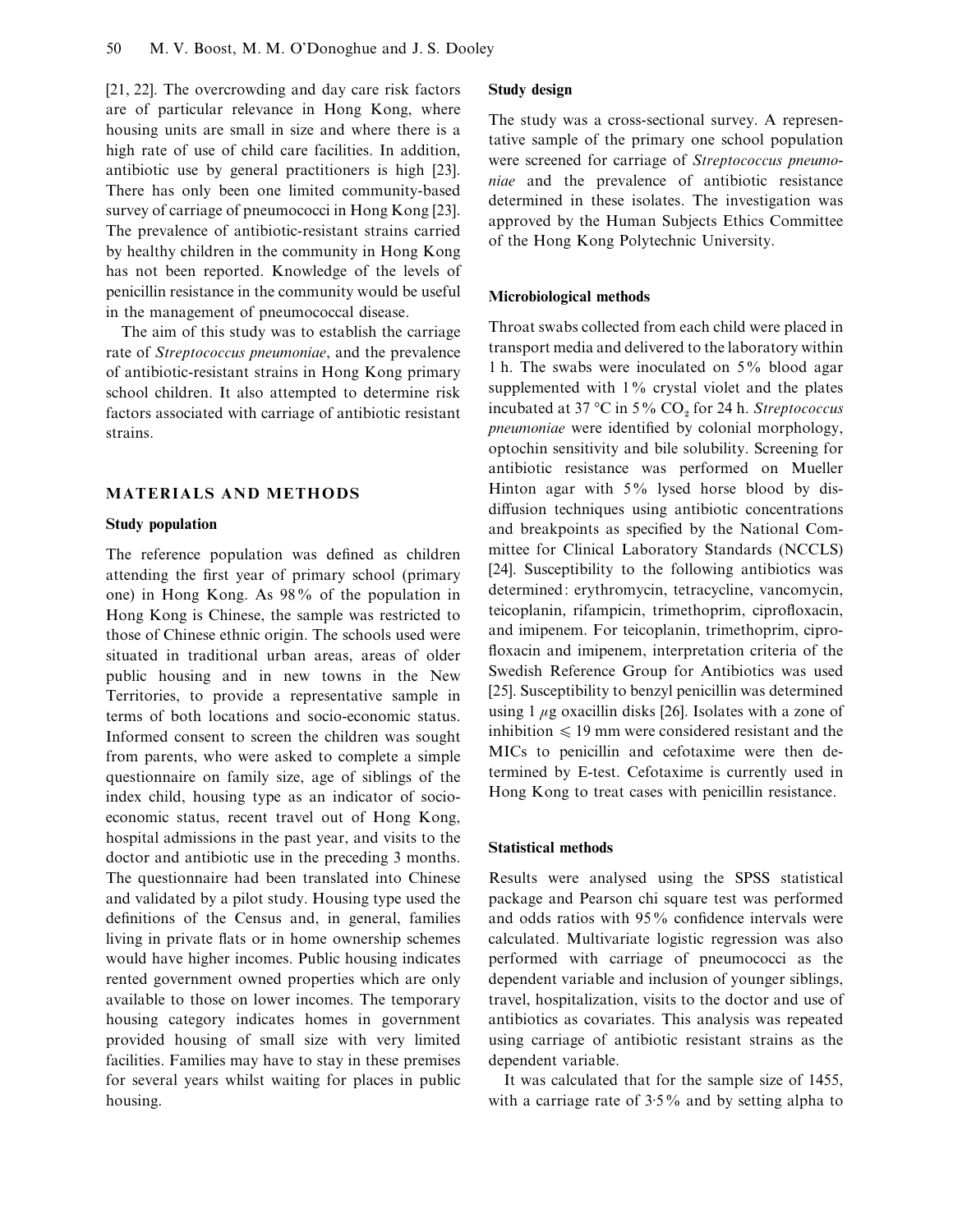[21, 22]. The overcrowding and day care risk factors are of particular relevance in Hong Kong, where housing units are small in size and where there is a high rate of use of child care facilities. In addition, antibiotic use by general practitioners is high [23]. There has only been one limited community-based survey of carriage of pneumococci in Hong Kong [23]. The prevalence of antibiotic-resistant strains carried by healthy children in the community in Hong Kong has not been reported. Knowledge of the levels of penicillin resistance in the community would be useful in the management of pneumococcal disease.

The aim of this study was to establish the carriage rate of *Streptococcus pneumoniae*, and the prevalence of antibiotic-resistant strains in Hong Kong primary school children. It also attempted to determine risk factors associated with carriage of antibiotic resistant strains.

#### **MATERIALS AND METHODS**

# **Study population**

The reference population was defined as children attending the first year of primary school (primary one) in Hong Kong. As 98% of the population in Hong Kong is Chinese, the sample was restricted to those of Chinese ethnic origin. The schools used were situated in traditional urban areas, areas of older public housing and in new towns in the New Territories, to provide a representative sample in terms of both locations and socio-economic status. Informed consent to screen the children was sought from parents, who were asked to complete a simple questionnaire on family size, age of siblings of the index child, housing type as an indicator of socioeconomic status, recent travel out of Hong Kong, hospital admissions in the past year, and visits to the doctor and antibiotic use in the preceding 3 months. The questionnaire had been translated into Chinese and validated by a pilot study. Housing type used the definitions of the Census and, in general, families living in private flats or in home ownership schemes would have higher incomes. Public housing indicates rented government owned properties which are only available to those on lower incomes. The temporary housing category indicates homes in government provided housing of small size with very limited facilities. Families may have to stay in these premises for several years whilst waiting for places in public housing.

# **Study design**

The study was a cross-sectional survey. A representative sample of the primary one school population were screened for carriage of *Streptococcus pneumoniae* and the prevalence of antibiotic resistance determined in these isolates. The investigation was approved by the Human Subjects Ethics Committee of the Hong Kong Polytechnic University.

#### **Microbiological methods**

Throat swabs collected from each child were placed in transport media and delivered to the laboratory within 1 h. The swabs were inoculated on 5% blood agar supplemented with 1% crystal violet and the plates incubated at 37 °C in 5% CO<sub>2</sub> for 24 h. *Streptococcus pneumoniae* were identified by colonial morphology, optochin sensitivity and bile solubility. Screening for antibiotic resistance was performed on Mueller Hinton agar with 5% lysed horse blood by disdiffusion techniques using antibiotic concentrations and breakpoints as specified by the National Committee for Clinical Laboratory Standards (NCCLS) [24]. Susceptibility to the following antibiotics was determined: erythromycin, tetracycline, vancomycin, teicoplanin, rifampicin, trimethoprim, ciprofloxacin, and imipenem. For teicoplanin, trimethoprim, ciprofloxacin and imipenem, interpretation criteria of the Swedish Reference Group for Antibiotics was used [25]. Susceptibility to benzyl penicillin was determined using 1  $\mu$ g oxacillin disks [26]. Isolates with a zone of inhibition  $\leq 19$  mm were considered resistant and the MICs to penicillin and cefotaxime were then determined by E-test. Cefotaxime is currently used in Hong Kong to treat cases with penicillin resistance.

# **Statistical methods**

Results were analysed using the SPSS statistical package and Pearson chi square test was performed and odds ratios with 95% confidence intervals were calculated. Multivariate logistic regression was also performed with carriage of pneumococci as the dependent variable and inclusion of younger siblings, travel, hospitalization, visits to the doctor and use of antibiotics as covariates. This analysis was repeated using carriage of antibiotic resistant strains as the dependent variable.

It was calculated that for the sample size of 1455, with a carriage rate of  $3.5\%$  and by setting alpha to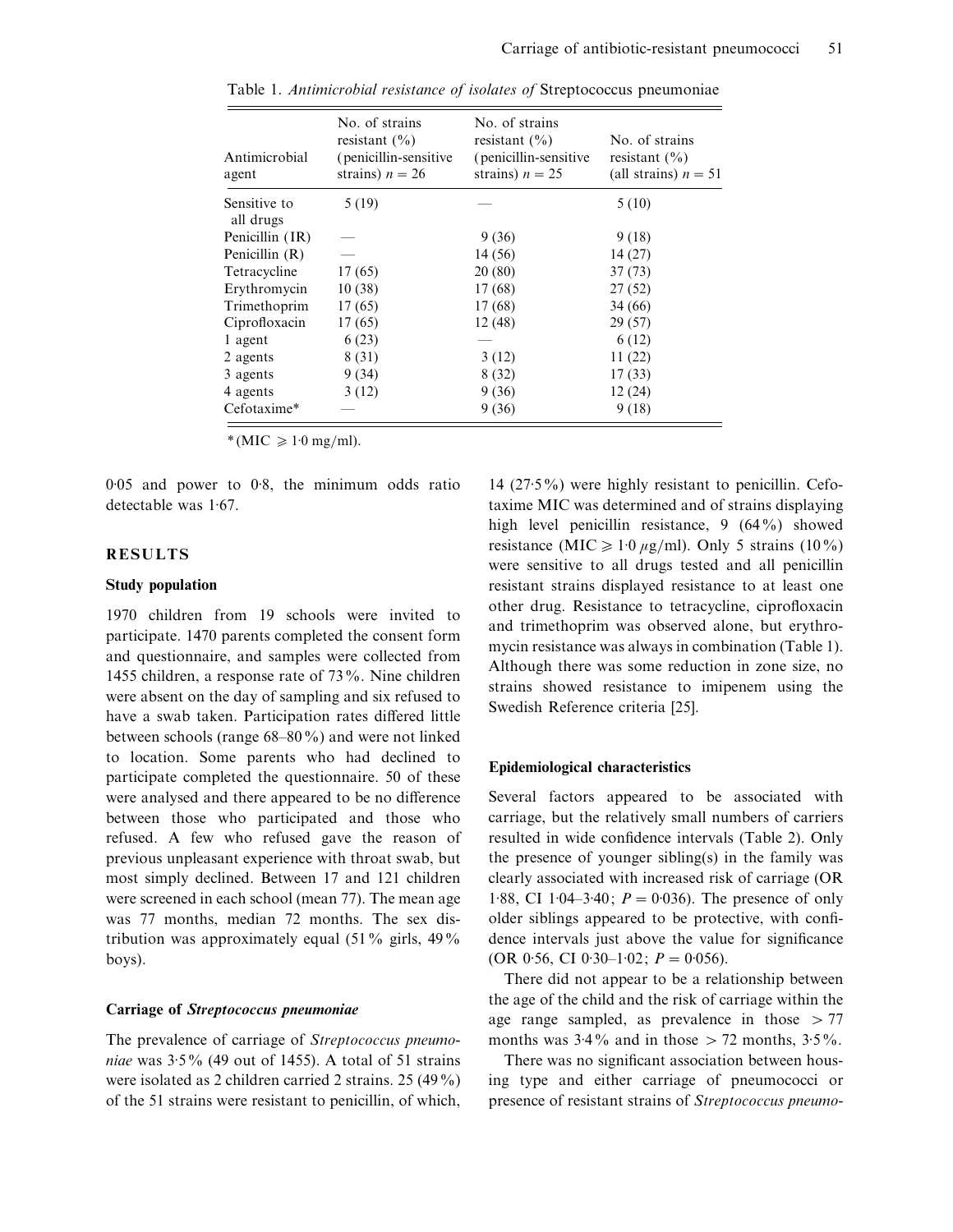| Antimicrobial<br>agent    | No. of strains<br>resistant $(\% )$<br>(penicillin-sensitive)<br>strains) $n = 26$ | No. of strains<br>resistant $(\% )$<br>(penicillin-sensitive)<br>strains) $n = 25$ | No. of strains<br>resistant $(\% )$<br>(all strains) $n = 51$ |
|---------------------------|------------------------------------------------------------------------------------|------------------------------------------------------------------------------------|---------------------------------------------------------------|
| Sensitive to<br>all drugs | 5(19)                                                                              |                                                                                    | 5(10)                                                         |
| Penicillin (IR)           |                                                                                    | 9 (36)                                                                             | 9 (18)                                                        |
| Penicillin $(R)$          |                                                                                    | 14 (56)                                                                            | 14 (27)                                                       |
| Tetracycline              | 17(65)                                                                             | 20(80)                                                                             | 37(73)                                                        |
| Erythromycin              | 10(38)                                                                             | 17 (68)                                                                            | 27 (52)                                                       |
| Trimethoprim              | 17 (65)                                                                            | 17 (68)                                                                            | 34 (66)                                                       |
| Ciprofloxacin             | 17(65)                                                                             | 12(48)                                                                             | 29(57)                                                        |
| 1 agent                   | 6(23)                                                                              |                                                                                    | 6(12)                                                         |
| 2 agents                  | 8 (31)                                                                             | 3(12)                                                                              | 11(22)                                                        |
| 3 agents                  | 9(34)                                                                              | 8(32)                                                                              | 17(33)                                                        |
| 4 agents                  | 3(12)                                                                              | 9(36)                                                                              | 12(24)                                                        |
| Cefotaxime*               |                                                                                    | 9(36)                                                                              | 9 (18)                                                        |

Table 1. *Antimicrobial resistance of isolates of* Streptococcus pneumoniae

\* (MIC  $\geq 1.0$  mg/ml).

 $0.05$  and power to  $0.8$ , the minimum odds ratio detectable was 1.67.

# **RESULTS**

#### **Study population**

1970 children from 19 schools were invited to participate. 1470 parents completed the consent form and questionnaire, and samples were collected from 1455 children, a response rate of 73%. Nine children were absent on the day of sampling and six refused to have a swab taken. Participation rates differed little between schools (range 68–80%) and were not linked to location. Some parents who had declined to participate completed the questionnaire. 50 of these were analysed and there appeared to be no difference between those who participated and those who refused. A few who refused gave the reason of previous unpleasant experience with throat swab, but most simply declined. Between 17 and 121 children were screened in each school (mean 77). The mean age was 77 months, median 72 months. The sex distribution was approximately equal  $(51\% \text{ girls}, 49\%)$ boys).

# **Carriage of** *Streptococcus pneumoniae*

The prevalence of carriage of *Streptococcus pneumoniae* was 3±5% (49 out of 1455). A total of 51 strains were isolated as 2 children carried 2 strains. 25 (49%) of the 51 strains were resistant to penicillin, of which, 14 (27 $\cdot$ 5%) were highly resistant to penicillin. Cefotaxime MIC was determined and of strains displaying high level penicillin resistance, 9 (64%) showed resistance (MIC  $\geq 1:0 \mu$ g/ml). Only 5 strains (10%) were sensitive to all drugs tested and all penicillin resistant strains displayed resistance to at least one other drug. Resistance to tetracycline, ciprofloxacin and trimethoprim was observed alone, but erythromycin resistance was always in combination (Table 1). Although there was some reduction in zone size, no strains showed resistance to imipenem using the Swedish Reference criteria [25].

#### **Epidemiological characteristics**

Several factors appeared to be associated with carriage, but the relatively small numbers of carriers resulted in wide confidence intervals (Table 2). Only the presence of younger sibling(s) in the family was clearly associated with increased risk of carriage (OR 1.88, CI 1.04–3.40;  $P = 0.036$ ). The presence of only older siblings appeared to be protective, with confidence intervals just above the value for significance (OR 0.56, CI 0.30–1.02;  $P = 0.056$ ).

There did not appear to be a relationship between the age of the child and the risk of carriage within the age range sampled, as prevalence in those  $> 77$ months was  $3.4\%$  and in those  $> 72$  months,  $3.5\%$ .

There was no significant association between housing type and either carriage of pneumococci or presence of resistant strains of *Streptococcus pneumo*-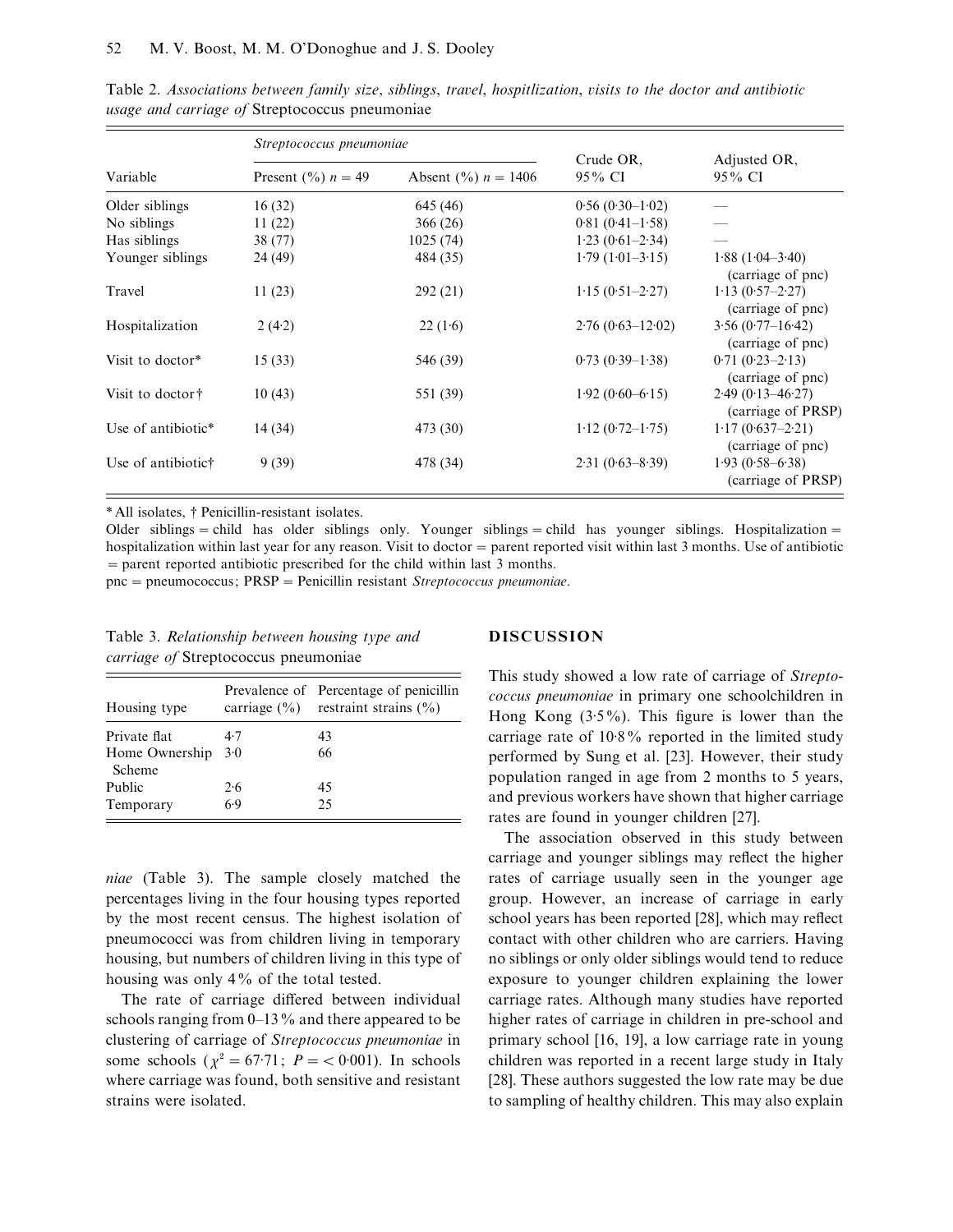|                                | Streptococcus pneumoniae       |                                            |                      |                                            |  |
|--------------------------------|--------------------------------|--------------------------------------------|----------------------|--------------------------------------------|--|
| Variable                       | Present $(\frac{9}{0}) n = 49$ | Absent $\left(\frac{9}{0}\right) n = 1406$ | Crude OR,<br>95% CI  | Adjusted OR,<br>95 % CI                    |  |
| Older siblings                 | 16(32)                         | 645 (46)                                   | $0.56(0.30-1.02)$    |                                            |  |
| No siblings                    | 11(22)                         | 366(26)                                    | $0.81(0.41-1.58)$    |                                            |  |
| Has siblings                   | 38 (77)                        | 1025(74)                                   | $1.23(0.61-2.34)$    |                                            |  |
| Younger siblings               | 24 (49)                        | 484 (35)                                   | $1.79(1.01-3.15)$    | $1.88(1.04 - 3.40)$<br>(carriage of pnc)   |  |
| Travel                         | 11(23)                         | 292(21)                                    | $1.15(0.51 - 2.27)$  | $1.13(0.57-2.27)$<br>(carriage of pnc)     |  |
| Hospitalization                | 2(4.2)                         | 22(1.6)                                    | $2.76(0.63 - 12.02)$ | $3.56(0.77-16.42)$<br>(carriage of pnc)    |  |
| Visit to doctor <sup>*</sup>   | 15(33)                         | 546 (39)                                   | $0.73(0.39-1.38)$    | $0.71(0.23 - 2.13)$<br>(carriage of pnc)   |  |
| Visit to doctor†               | 10(43)                         | 551 (39)                                   | $1.92(0.60 - 6.15)$  | $2.49(0.13 - 46.27)$<br>(carriage of PRSP) |  |
| Use of antibiotic <sup>*</sup> | 14(34)                         | 473 (30)                                   | $1.12(0.72 - 1.75)$  | $1.17(0.637 - 2.21)$<br>(carriage of pnc)  |  |
| Use of antibiotic†             | 9(39)                          | 478 (34)                                   | $2.31(0.63 - 8.39)$  | $1.93(0.58 - 6.38)$<br>(carriage of PRSP)  |  |

Table 2. *Associations between family size*, *siblings*, *trael*, *hospitlization*, *isits to the doctor and antibiotic usage and carriage of* Streptococcus pneumoniae

\* All isolates, † Penicillin-resistant isolates.

Older siblings = child has older siblings only. Younger siblings = child has younger siblings. Hospitalization = hospitalization within last year for any reason. Visit to doctor  $=$  parent reported visit within last 3 months. Use of antibiotic  $=$  parent reported antibiotic prescribed for the child within last 3 months.

pnc = pneumococcus; PRSP = Penicillin resistant *Streptococcus pneumoniae*.

| Table 3. Relationship between housing type and |  |  |
|------------------------------------------------|--|--|
| carriage of Streptococcus pneumoniae           |  |  |

| Housing type             |       | Prevalence of Percentage of penicillin<br>carriage $(\%)$ restraint strains $(\%)$ |
|--------------------------|-------|------------------------------------------------------------------------------------|
| Private flat             | 4.7   | 43                                                                                 |
| Home Ownership<br>Scheme | $3-0$ | 66                                                                                 |
| Public                   | 2.6   | 45                                                                                 |
| Temporary                | 6.9   | 25                                                                                 |

*niae* (Table 3). The sample closely matched the percentages living in the four housing types reported by the most recent census. The highest isolation of pneumococci was from children living in temporary housing, but numbers of children living in this type of housing was only 4% of the total tested.

The rate of carriage differed between individual schools ranging from 0–13% and there appeared to be clustering of carriage of *Streptococcus pneumoniae* in some schools ( $\chi^2 = 67.71$ ;  $P = 0.001$ ). In schools where carriage was found, both sensitive and resistant strains were isolated.

#### **DISCUSSION**

This study showed a low rate of carriage of *Streptococcus pneumoniae* in primary one schoolchildren in Hong Kong  $(3.5\%)$ . This figure is lower than the carriage rate of  $10.8\%$  reported in the limited study performed by Sung et al. [23]. However, their study population ranged in age from 2 months to 5 years, and previous workers have shown that higher carriage rates are found in younger children [27].

The association observed in this study between carriage and younger siblings may reflect the higher rates of carriage usually seen in the younger age group. However, an increase of carriage in early school years has been reported [28], which may reflect contact with other children who are carriers. Having no siblings or only older siblings would tend to reduce exposure to younger children explaining the lower carriage rates. Although many studies have reported higher rates of carriage in children in pre-school and primary school [16, 19], a low carriage rate in young children was reported in a recent large study in Italy [28]. These authors suggested the low rate may be due to sampling of healthy children. This may also explain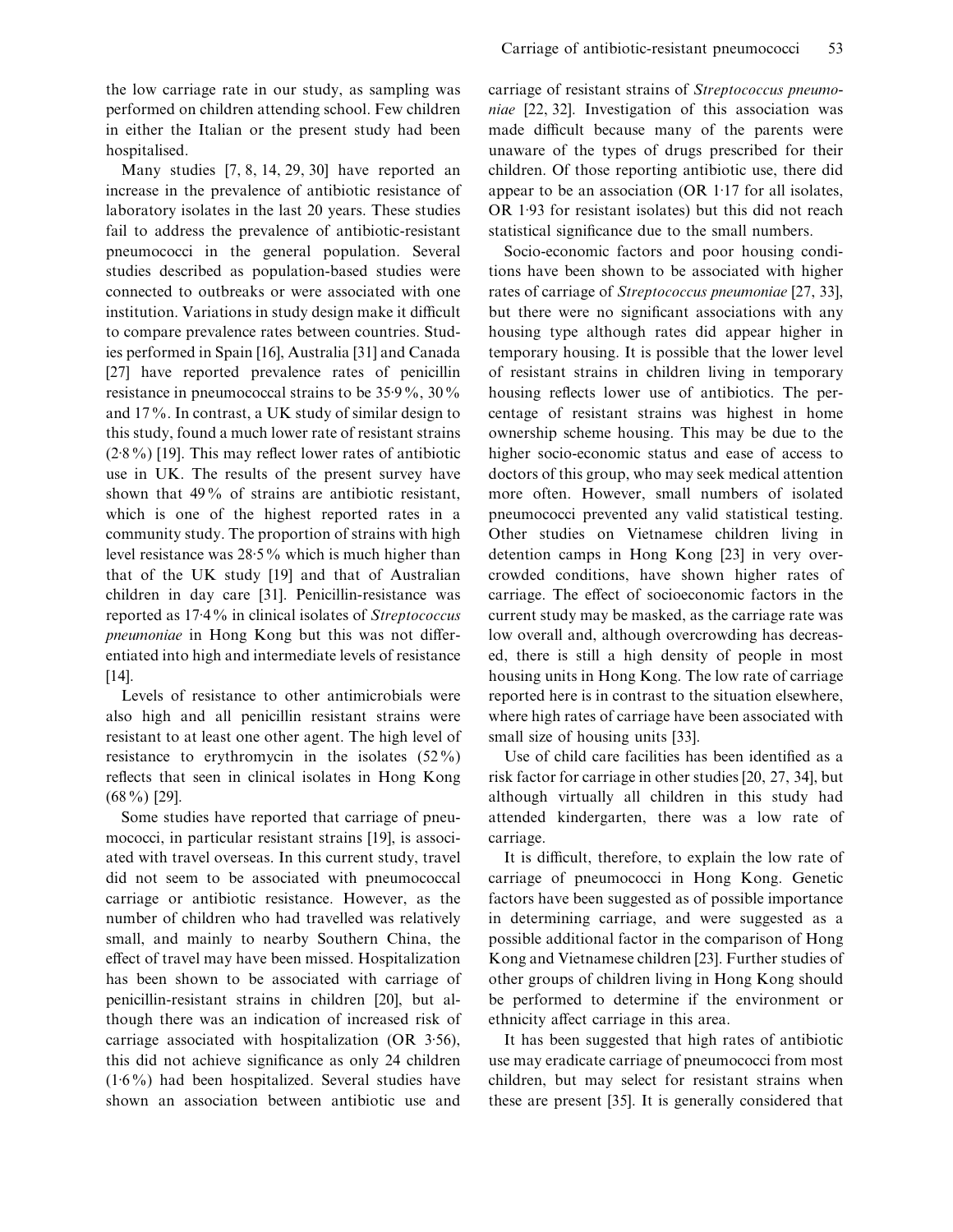the low carriage rate in our study, as sampling was performed on children attending school. Few children in either the Italian or the present study had been hospitalised.

Many studies [7, 8, 14, 29, 30] have reported an increase in the prevalence of antibiotic resistance of laboratory isolates in the last 20 years. These studies fail to address the prevalence of antibiotic-resistant pneumococci in the general population. Several studies described as population-based studies were connected to outbreaks or were associated with one institution. Variations in study design make it difficult to compare prevalence rates between countries. Studies performed in Spain [16], Australia [31] and Canada [27] have reported prevalence rates of penicillin resistance in pneumococcal strains to be  $35.9\%$ ,  $30\%$ and 17%. In contrast, a UK study of similar design to this study, found a much lower rate of resistant strains (2±8%) [19]. This may reflect lower rates of antibiotic use in UK. The results of the present survey have shown that 49% of strains are antibiotic resistant, which is one of the highest reported rates in a community study. The proportion of strains with high level resistance was  $28.5\%$  which is much higher than that of the UK study [19] and that of Australian children in day care [31]. Penicillin-resistance was reported as 17±4% in clinical isolates of *Streptococcus pneumoniae* in Hong Kong but this was not differentiated into high and intermediate levels of resistance [14].

Levels of resistance to other antimicrobials were also high and all penicillin resistant strains were resistant to at least one other agent. The high level of resistance to erythromycin in the isolates  $(52\%)$ reflects that seen in clinical isolates in Hong Kong (68%) [29].

Some studies have reported that carriage of pneumococci, in particular resistant strains [19], is associated with travel overseas. In this current study, travel did not seem to be associated with pneumococcal carriage or antibiotic resistance. However, as the number of children who had travelled was relatively small, and mainly to nearby Southern China, the effect of travel may have been missed. Hospitalization has been shown to be associated with carriage of penicillin-resistant strains in children [20], but although there was an indication of increased risk of carriage associated with hospitalization (OR 3±56), this did not achieve significance as only 24 children  $(1.6\%)$  had been hospitalized. Several studies have shown an association between antibiotic use and

carriage of resistant strains of *Streptococcus pneumoniae* [22, 32]. Investigation of this association was made difficult because many of the parents were unaware of the types of drugs prescribed for their children. Of those reporting antibiotic use, there did appear to be an association  $(OR 1.17$  for all isolates, OR 1.93 for resistant isolates) but this did not reach statistical significance due to the small numbers.

Socio-economic factors and poor housing conditions have been shown to be associated with higher rates of carriage of *Streptococcus pneumoniae* [27, 33], but there were no significant associations with any housing type although rates did appear higher in temporary housing. It is possible that the lower level of resistant strains in children living in temporary housing reflects lower use of antibiotics. The percentage of resistant strains was highest in home ownership scheme housing. This may be due to the higher socio-economic status and ease of access to doctors of this group, who may seek medical attention more often. However, small numbers of isolated pneumococci prevented any valid statistical testing. Other studies on Vietnamese children living in detention camps in Hong Kong [23] in very overcrowded conditions, have shown higher rates of carriage. The effect of socioeconomic factors in the current study may be masked, as the carriage rate was low overall and, although overcrowding has decreased, there is still a high density of people in most housing units in Hong Kong. The low rate of carriage reported here is in contrast to the situation elsewhere, where high rates of carriage have been associated with small size of housing units [33].

Use of child care facilities has been identified as a risk factor for carriage in other studies [20, 27, 34], but although virtually all children in this study had attended kindergarten, there was a low rate of carriage.

It is difficult, therefore, to explain the low rate of carriage of pneumococci in Hong Kong. Genetic factors have been suggested as of possible importance in determining carriage, and were suggested as a possible additional factor in the comparison of Hong Kong and Vietnamese children [23]. Further studies of other groups of children living in Hong Kong should be performed to determine if the environment or ethnicity affect carriage in this area.

It has been suggested that high rates of antibiotic use may eradicate carriage of pneumococci from most children, but may select for resistant strains when these are present [35]. It is generally considered that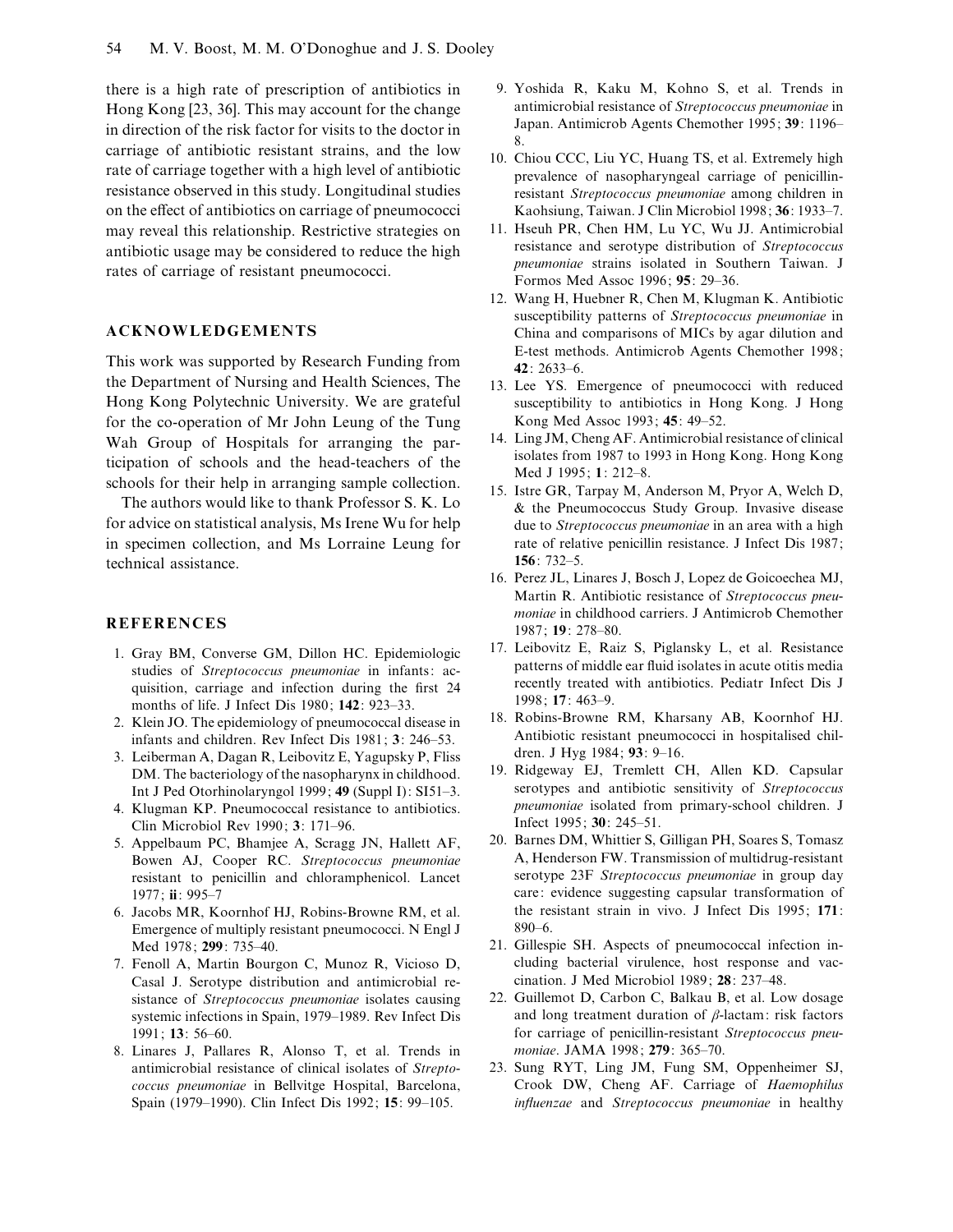there is a high rate of prescription of antibiotics in Hong Kong [23, 36]. This may account for the change in direction of the risk factor for visits to the doctor in carriage of antibiotic resistant strains, and the low rate of carriage together with a high level of antibiotic resistance observed in this study. Longitudinal studies on the effect of antibiotics on carriage of pneumococci may reveal this relationship. Restrictive strategies on antibiotic usage may be considered to reduce the high rates of carriage of resistant pneumococci.

#### **ACKNOWLEDGEMENTS**

This work was supported by Research Funding from the Department of Nursing and Health Sciences, The Hong Kong Polytechnic University. We are grateful for the co-operation of Mr John Leung of the Tung Wah Group of Hospitals for arranging the participation of schools and the head-teachers of the schools for their help in arranging sample collection.

The authors would like to thank Professor S. K. Lo for advice on statistical analysis, Ms Irene Wu for help in specimen collection, and Ms Lorraine Leung for technical assistance.

#### **REFERENCES**

- 1. Gray BM, Converse GM, Dillon HC. Epidemiologic studies of *Streptococcus pneumoniae* in infants: acquisition, carriage and infection during the first 24 months of life. J Infect Dis 1980; **142**: 923–33.
- 2. Klein JO. The epidemiology of pneumococcal disease in infants and children. Rev Infect Dis 1981; **3**: 246–53.
- 3. Leiberman A, Dagan R, Leibovitz E, Yagupsky P, Fliss DM. The bacteriology of the nasopharynx in childhood. Int J Ped Otorhinolaryngol 1999; **49** (Suppl I): SI51–3.
- 4. Klugman KP. Pneumococcal resistance to antibiotics. Clin Microbiol Rev 1990; **3**: 171–96.
- 5. Appelbaum PC, Bhamjee A, Scragg JN, Hallett AF, Bowen AJ, Cooper RC. *Streptococcus pneumoniae* resistant to penicillin and chloramphenicol. Lancet 1977; **ii**: 995–7
- 6. Jacobs MR, Koornhof HJ, Robins-Browne RM, et al. Emergence of multiply resistant pneumococci. N Engl J Med 1978; **299**: 735–40.
- 7. Fenoll A, Martin Bourgon C, Munoz R, Vicioso D, Casal J. Serotype distribution and antimicrobial resistance of *Streptococcus pneumoniae* isolates causing systemic infections in Spain, 1979–1989. Rev Infect Dis 1991; **13**: 56–60.
- 8. Linares J, Pallares R, Alonso T, et al. Trends in antimicrobial resistance of clinical isolates of *Streptococcus pneumoniae* in Bellvitge Hospital, Barcelona, Spain (1979–1990). Clin Infect Dis 1992; **15**: 99–105.
- 9. Yoshida R, Kaku M, Kohno S, et al. Trends in antimicrobial resistance of *Streptococcus pneumoniae* in Japan. Antimicrob Agents Chemother 1995; **39**: 1196– 8.
- 10. Chiou CCC, Liu YC, Huang TS, et al. Extremely high prevalence of nasopharyngeal carriage of penicillinresistant *Streptococcus pneumoniae* among children in Kaohsiung, Taiwan. J Clin Microbiol 1998; **36**: 1933–7.
- 11. Hseuh PR, Chen HM, Lu YC, Wu JJ. Antimicrobial resistance and serotype distribution of *Streptococcus pneumoniae* strains isolated in Southern Taiwan. J Formos Med Assoc 1996; **95**: 29–36.
- 12. Wang H, Huebner R, Chen M, Klugman K. Antibiotic susceptibility patterns of *Streptococcus pneumoniae* in China and comparisons of MICs by agar dilution and E-test methods. Antimicrob Agents Chemother 1998; **42**: 2633–6.
- 13. Lee YS. Emergence of pneumococci with reduced susceptibility to antibiotics in Hong Kong. J Hong Kong Med Assoc 1993; **45**: 49–52.
- 14. Ling JM, Cheng AF. Antimicrobial resistance of clinical isolates from 1987 to 1993 in Hong Kong. Hong Kong Med J 1995; **1**: 212–8.
- 15. Istre GR, Tarpay M, Anderson M, Pryor A, Welch D, & the Pneumococcus Study Group. Invasive disease due to *Streptococcus pneumoniae* in an area with a high rate of relative penicillin resistance. J Infect Dis 1987; **156**: 732–5.
- 16. Perez JL, Linares J, Bosch J, Lopez de Goicoechea MJ, Martin R. Antibiotic resistance of *Streptococcus pneumoniae* in childhood carriers. J Antimicrob Chemother 1987; **19**: 278–80.
- 17. Leibovitz E, Raiz S, Piglansky L, et al. Resistance patterns of middle ear fluid isolates in acute otitis media recently treated with antibiotics. Pediatr Infect Dis J 1998; **17**: 463–9.
- 18. Robins-Browne RM, Kharsany AB, Koornhof HJ. Antibiotic resistant pneumococci in hospitalised children. J Hyg 1984; **93**: 9–16.
- 19. Ridgeway EJ, Tremlett CH, Allen KD. Capsular serotypes and antibiotic sensitivity of *Streptococcus pneumoniae* isolated from primary-school children. J Infect 1995; **30**: 245–51.
- 20. Barnes DM, Whittier S, Gilligan PH, Soares S, Tomasz A, Henderson FW. Transmission of multidrug-resistant serotype 23F *Streptococcus pneumoniae* in group day care: evidence suggesting capsular transformation of the resistant strain in vivo. J Infect Dis 1995; **171**: 890–6.
- 21. Gillespie SH. Aspects of pneumococcal infection including bacterial virulence, host response and vaccination. J Med Microbiol 1989; **28**: 237–48.
- 22. Guillemot D, Carbon C, Balkau B, et al. Low dosage and long treatment duration of  $\beta$ -lactam: risk factors for carriage of penicillin-resistant *Streptococcus pneumoniae*. JAMA 1998; **279**: 365–70.
- 23. Sung RYT, Ling JM, Fung SM, Oppenheimer SJ, Crook DW, Cheng AF. Carriage of *Haemophilus influenzae* and *Streptococcus pneumoniae* in healthy